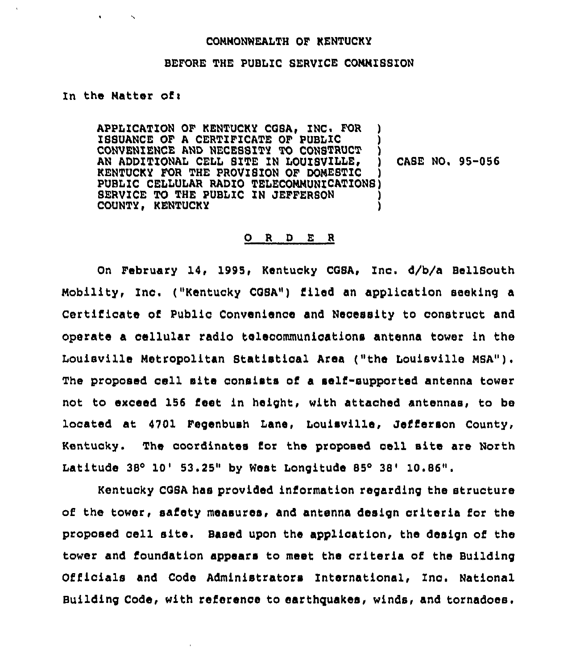#### CONMONWEAITH OF KENTUCKY

#### BEFORE THE PUBLIC SERVICE CONNISSION

### In the Matter of:

APPLICATION OF KENTUCKY COSA, ZNC. FOR ) ISSUANCE OF <sup>A</sup> CERTIFICATE OF PUBLIC ) CONVENIENCE AND NECE8SITY TO CONSTRUCT ) AN ADDITIONAL CELL SITE IN LOUISVILLE, KENTUCKY FOR THE PROVIBION OF DOMESTIC PUBLIC CELLULAR RADIO TELECOMMUNZCATION8) SERVICE TO THE PUBLIC IN JEFFERSON COUNTY, KENTUCKY CABE NO. 95-056

# 0 <sup>R</sup> <sup>D</sup> E <sup>R</sup>

On February 14, 1995, Kentucky CGSA, Inc. d/b/a BellSouth Mobility, Ino. ("Kentucky COSA") filed an application seeking <sup>a</sup> Certificate of Public Convenience and Necessity to construct and operate a cellular radio telecommunications antenna tower in the Louisville Metropolitan Btatistical Area ("the Louisville MSA"). The proposed cell site consists of a salt-supported antenna tower not to exceed 156 i'eet in height, with attached antennas, to be located at 4701 Fegenbush Lane, Louisville, Jefferson County, Kentucky. The coordinates for the proposed cell sita are North Latitude  $38^{\circ}$  10' 53.25" by West Longitude 85 $^{\circ}$  38' 10.86".

Kentucky COSA has provided iniormation regarding the structure of the tower, safety measures, and antenna design criteria for the proposed cell site. Based upon the application, the design of the tower and foundation appears to meet the criteria of the Building Officials and Code Administrators International, Inc. National Building Code, with reference to earthquakes, winds, and tornadoes.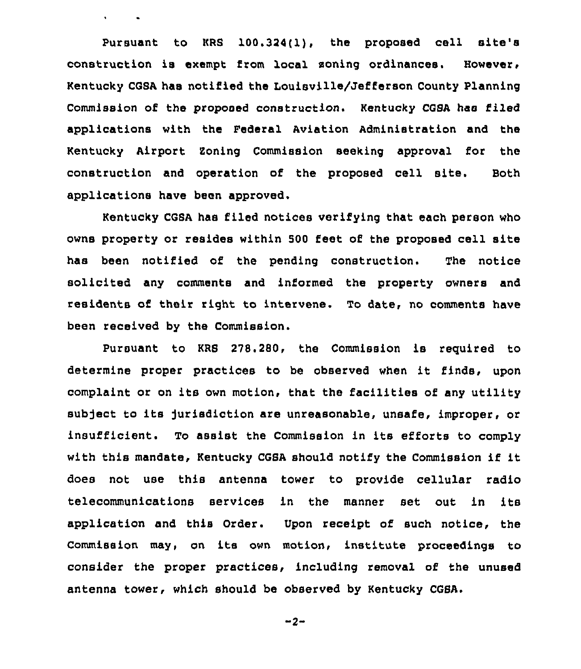Pursuant to KRS 100.324(1), the proposed cell site's construction is exempt from local soning ordinances. However, Kentucky CGSA has notified the Louisville/Jefferson County Planning Commission of the proposed construction. Kentucky CGSA has filed applications with the Federal Aviation Administration and the Kentucky Airport Soning Commission seeking approval for the construction and operation of the proposed cell site. Both applications have been approved.

 $\mathbf{A}$  and  $\mathbf{A}$  and  $\mathbf{A}$ 

Kentucky CGSA has filed notices verifying that each person who owns property or resides within 500 feet of the proposed cell site has been notified of the pending construction. The notice solicited any comments and informed the property owners and residents of their right to intervene. To date, no comments have been received by the Commission.

Pursuant to KRS 278.280, the Commission is required to determine proper practices to be observed when it finds, upon complaint or on its own motion, that the facilities of any utility subject to its jurisdiction are unreasonable, unsafe, improper, or insufficient. To assist the Commission in its efforts to comply with this mandate, Kentucky CGSA should notify the Commission if it does not use this antenna tower to provide cellular radio telecommunications services in the manner set out in its application and this Order. Upon receipt of such notice, the Commission may, on its own motion, institute proceedings to consider the proper practices, including removal of the unused antenna tower, which should be observed by Kentucky CGSA.

$$
-2-
$$